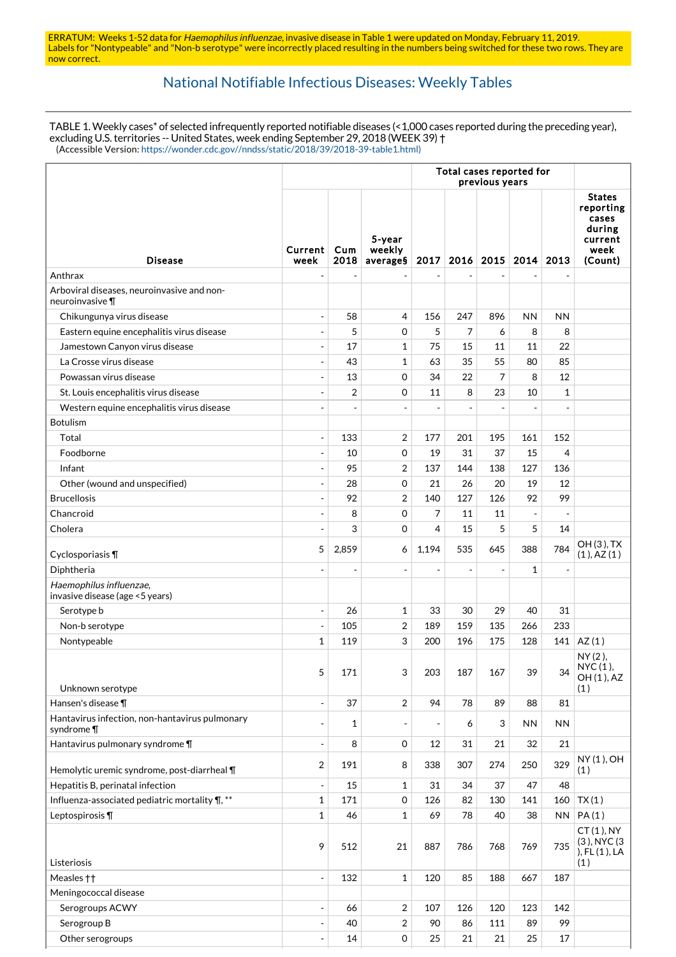ERRATUM: Weeks 1-52 data for Haemophilus influenzae, invasive disease in Table 1 were updated on Monday, February 11, 2019. Labels for "Nontypeable" and "Non-b serotype" were incorrectly placed resulting in the numbers being switched for these two rows. They are now correct.

## [National Notifiable Infectious Diseases: Weekly Tables](https://wwwn.cdc.gov/nndss/)

TABLE 1. Weekly cases\* of selected infrequently reported notifiable diseases (<1,000 cases reported during the preceding year), excluding U.S. territories -- United States, week ending September 29, 2018 (WEEK 39) † (Accessible Version: [https://wonder.cdc.gov//nndss/static/2018/39/2018-39-table1.html\)](https://wonder.cdc.gov//nndss/static/2018/39/2018-39-table1.html)

|                                                               |                          | Total cases reported for<br>previous years |                              |                          |                |                |                          |                          |                                                                             |
|---------------------------------------------------------------|--------------------------|--------------------------------------------|------------------------------|--------------------------|----------------|----------------|--------------------------|--------------------------|-----------------------------------------------------------------------------|
| <b>Disease</b>                                                | Current<br>week          | Cum<br>2018                                | 5-year<br>weekly<br>average§ | 2017                     |                | $2016$   2015  | 2014                     | 2013                     | <b>States</b><br>reporting<br>cases<br>during<br>current<br>week<br>(Count) |
| Anthrax                                                       | ÷,                       |                                            |                              |                          |                |                |                          |                          |                                                                             |
| Arboviral diseases, neuroinvasive and non-<br>neuroinvasive ¶ |                          |                                            |                              |                          |                |                |                          |                          |                                                                             |
| Chikungunya virus disease                                     | $\overline{a}$           | 58                                         | 4                            | 156                      | 247            | 896            | <b>NN</b>                | <b>NN</b>                |                                                                             |
| Eastern equine encephalitis virus disease                     | $\overline{a}$           | 5                                          | 0                            | 5                        | 7              | 6              | 8                        | 8                        |                                                                             |
| Jamestown Canyon virus disease                                | ÷,                       | 17                                         | 1                            | 75                       | 15             | 11             | 11                       | 22                       |                                                                             |
| La Crosse virus disease                                       |                          | 43                                         | $\mathbf{1}$                 | 63                       | 35             | 55             | 80                       | 85                       |                                                                             |
| Powassan virus disease                                        |                          | 13                                         | 0                            | 34                       | 22             | 7              | 8                        | 12                       |                                                                             |
| St. Louis encephalitis virus disease                          |                          | $\overline{2}$                             | $\Omega$                     | 11                       | 8              | 23             | 10                       | $\mathbf{1}$             |                                                                             |
| Western equine encephalitis virus disease                     |                          |                                            |                              |                          |                |                |                          |                          |                                                                             |
| Botulism                                                      |                          |                                            |                              |                          |                |                |                          |                          |                                                                             |
| Total                                                         | $\overline{a}$           | 133                                        | 2                            | 177                      | 201            | 195            | 161                      | 152                      |                                                                             |
| Foodborne                                                     | $\overline{a}$           | 10                                         | 0                            | 19                       | 31             | 37             | 15                       | 4                        |                                                                             |
| Infant                                                        |                          | 95                                         | 2                            | 137                      | 144            | 138            | 127                      | 136                      |                                                                             |
| Other (wound and unspecified)                                 | ÷,                       | 28                                         | 0                            | 21                       | 26             | 20             | 19                       | 12                       |                                                                             |
| <b>Brucellosis</b>                                            |                          | 92                                         | $\overline{2}$               | 140                      | 127            | 126            | 92                       | 99                       |                                                                             |
| Chancroid                                                     | $\overline{\phantom{a}}$ | 8                                          | $\Omega$                     | 7                        | 11             | 11             | $\overline{\phantom{a}}$ | $\overline{\phantom{a}}$ |                                                                             |
| Cholera                                                       |                          | 3                                          | $\Omega$                     | 4                        | 15             | 5              | 5                        | 14                       |                                                                             |
| Cyclosporiasis ¶                                              | 5                        | 2,859                                      | 6                            | 1,194                    | 535            | 645            | 388                      | 784                      | OH (3), TX<br>(1), AZ(1)                                                    |
| Diphtheria                                                    |                          |                                            |                              |                          | $\overline{a}$ | $\overline{a}$ | 1                        | $\overline{\phantom{a}}$ |                                                                             |
| Haemophilus influenzae,<br>invasive disease (age <5 years)    |                          |                                            |                              |                          |                |                |                          |                          |                                                                             |
| Serotype b                                                    | $\overline{a}$           | 26                                         | 1                            | 33                       | 30             | 29             | 40                       | 31                       |                                                                             |
| Non-b serotype                                                |                          | 105                                        | 2                            | 189                      | 159            | 135            | 266                      | 233                      |                                                                             |
| Nontypeable                                                   | $\mathbf{1}$             | 119                                        | 3                            | 200                      | 196            | 175            | 128                      | 141                      | AZ(1)                                                                       |
| Unknown serotype                                              | 5                        | 171                                        | 3                            | 203                      | 187            | 167            | 39                       | 34                       | NY (2),<br>NYC (1),<br>OH (1), AZ<br>(1)                                    |
| Hansen's disease ¶                                            | $\overline{a}$           | 37                                         | $\overline{2}$               | 94                       | 78             | 89             | 88                       | 81                       |                                                                             |
| Hantavirus infection, non-hantavirus pulmonary<br>syndrome ¶  | L,                       | $\mathbf{1}$                               |                              | $\overline{\phantom{a}}$ | 6              | 3              | ΝN                       | <b>NN</b>                |                                                                             |
| Hantavirus pulmonary syndrome ¶                               | $\overline{a}$           | 8                                          | 0                            | 12                       | 31             | 21             | 32                       | 21                       |                                                                             |
| Hemolytic uremic syndrome, post-diarrheal \[                  | 2                        | 191                                        | 8                            | 338                      | 307            | 274            | 250                      | 329                      | NY (1), OH<br>(1)                                                           |
| Hepatitis B, perinatal infection                              | $\overline{\phantom{a}}$ | 15                                         | 1                            | 31                       | 34             | 37             | 47                       | 48                       |                                                                             |
| Influenza-associated pediatric mortality \, **                | $\mathbf 1$              | 171                                        | 0                            | 126                      | 82             | 130            | 141                      | 160                      | TX(1)                                                                       |
| Leptospirosis ¶                                               | $\mathbf{1}$             | 46                                         | $\mathbf{1}$                 | 69                       | 78             | 40             | 38                       | <b>NN</b>                | PA(1)                                                                       |
| Listeriosis                                                   | 9                        | 512                                        | 21                           | 887                      | 786            | 768            | 769                      | 735                      | CT(1), NY<br>(3), NYC (3)<br>), FL (1), LA<br>(1)                           |
| Measles ++                                                    | $\equiv$                 | 132                                        | 1                            | 120                      | 85             | 188            | 667                      | 187                      |                                                                             |
| Meningococcal disease                                         |                          |                                            |                              |                          |                |                |                          |                          |                                                                             |
| Serogroups ACWY                                               | $\overline{a}$           | 66                                         | $\overline{2}$               | 107                      | 126            | 120            | 123                      | 142                      |                                                                             |
| Serogroup B                                                   | $\overline{\phantom{a}}$ | 40                                         | $\overline{2}$               | 90                       | 86             | 111            | 89                       | 99                       |                                                                             |
| Other serogroups                                              | $\overline{a}$           | 14                                         | 0                            | 25                       | 21             | 21             | 25                       | 17                       |                                                                             |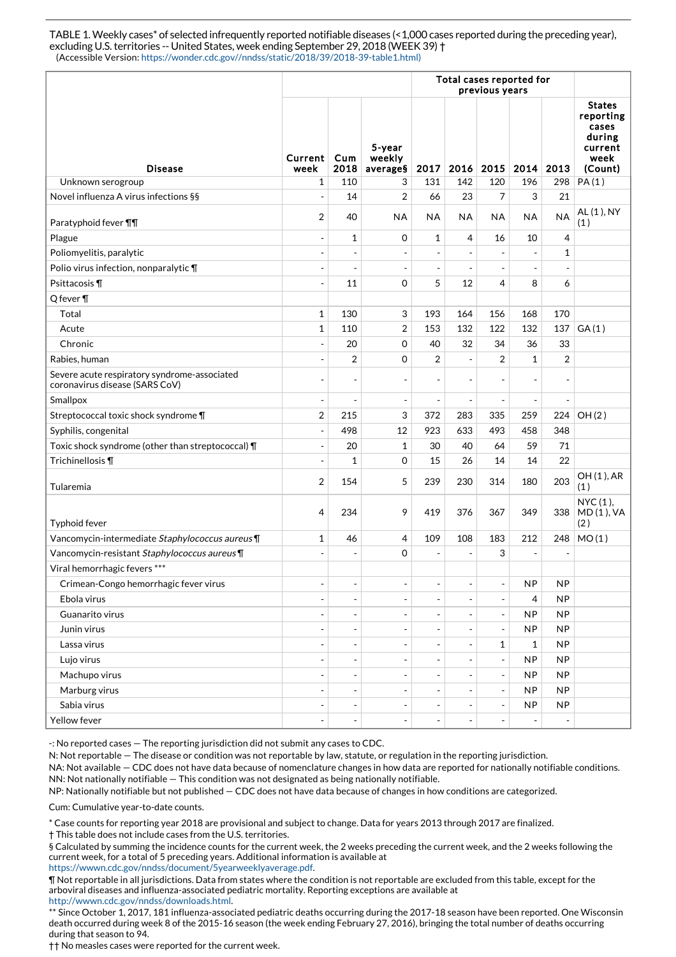TABLE 1. Weekly cases\* of selected infrequently reported notifiable diseases (<1,000 cases reported during the preceding year), excluding U.S. territories -- United States, week ending September 29, 2018 (WEEK 39) † (Accessible Version: https://wonder.cdc.gov//nndss/static/2018/39/2018-39-table1.html)

|                                                                                | Total cases reported for<br>previous years |                          |                              |                          |                          |                          |                          |                |                                                                             |
|--------------------------------------------------------------------------------|--------------------------------------------|--------------------------|------------------------------|--------------------------|--------------------------|--------------------------|--------------------------|----------------|-----------------------------------------------------------------------------|
| <b>Disease</b>                                                                 | Current <sub>1</sub><br>week               | Cum<br>2018              | 5-year<br>weekly<br>average§ | 2017                     | 2016                     | 2015                     | 2014 2013                |                | <b>States</b><br>reporting<br>cases<br>during<br>current<br>week<br>(Count) |
| Unknown serogroup                                                              | 1                                          | 110                      | 3                            | 131                      | 142                      | 120                      | 196                      | 298            | PA(1)                                                                       |
| Novel influenza A virus infections §§                                          | $\blacksquare$                             | 14                       | $\overline{2}$               | 66                       | 23                       | 7                        | 3                        | 21             |                                                                             |
| Paratyphoid fever <b>TT</b>                                                    | $\overline{2}$                             | 40                       | <b>NA</b>                    | <b>NA</b>                | <b>NA</b>                | <b>NA</b>                | ΝA                       | <b>NA</b>      | AL (1), NY<br>(1)                                                           |
| Plague                                                                         | $\overline{a}$                             | $\mathbf{1}$             | $\mathbf 0$                  | 1                        | 4                        | 16                       | 10                       | $\overline{4}$ |                                                                             |
| Poliomyelitis, paralytic                                                       | $\overline{a}$                             | $\overline{a}$           | $\overline{a}$               | $\overline{\phantom{a}}$ | $\overline{\phantom{a}}$ | $\blacksquare$           | $\blacksquare$           | $\mathbf{1}$   |                                                                             |
| Polio virus infection, nonparalytic ¶                                          | $\overline{a}$                             |                          | $\overline{a}$               | $\overline{\phantom{a}}$ | $\overline{\phantom{a}}$ | $\overline{\phantom{a}}$ | $\blacksquare$           |                |                                                                             |
| Psittacosis ¶                                                                  | $\overline{a}$                             | 11                       | 0                            | 5                        | 12                       | 4                        | 8                        | 6              |                                                                             |
| Q fever ¶                                                                      |                                            |                          |                              |                          |                          |                          |                          |                |                                                                             |
| Total                                                                          | $\mathbf{1}$                               | 130                      | 3                            | 193                      | 164                      | 156                      | 168                      | 170            |                                                                             |
| Acute                                                                          | $\mathbf 1$                                | 110                      | $\overline{2}$               | 153                      | 132                      | 122                      | 132                      | 137            | GA(1)                                                                       |
| Chronic                                                                        | $\overline{a}$                             | 20                       | 0                            | 40                       | 32                       | 34                       | 36                       | 33             |                                                                             |
| Rabies, human                                                                  | $\overline{a}$                             | 2                        | $\Omega$                     | $\overline{2}$           | $\blacksquare$           | 2                        | $\mathbf{1}$             | $\overline{2}$ |                                                                             |
| Severe acute respiratory syndrome-associated<br>coronavirus disease (SARS CoV) | ÷,                                         | ÷,                       | ÷,                           | $\overline{\phantom{a}}$ | $\overline{\phantom{a}}$ | $\overline{\phantom{a}}$ | $\overline{\phantom{a}}$ |                |                                                                             |
| Smallpox                                                                       | $\overline{\phantom{a}}$                   | ÷,                       | $\overline{\phantom{a}}$     | $\overline{\phantom{a}}$ | $\overline{\phantom{a}}$ | $\overline{\phantom{a}}$ | $\overline{\phantom{m}}$ | ÷,             |                                                                             |
| Streptococcal toxic shock syndrome \[                                          | 2                                          | 215                      | 3                            | 372                      | 283                      | 335                      | 259                      | 224            | OH(2)                                                                       |
| Syphilis, congenital                                                           | $\overline{\phantom{a}}$                   | 498                      | 12                           | 923                      | 633                      | 493                      | 458                      | 348            |                                                                             |
| Toxic shock syndrome (other than streptococcal) \[                             | $\blacksquare$                             | 20                       | $\mathbf{1}$                 | 30                       | 40                       | 64                       | 59                       | 71             |                                                                             |
| Trichinellosis ¶                                                               | $\overline{a}$                             | 1                        | 0                            | 15                       | 26                       | 14                       | 14                       | 22             |                                                                             |
| Tularemia                                                                      | $\overline{2}$                             | 154                      | 5                            | 239                      | 230                      | 314                      | 180                      | 203            | OH (1), AR<br>(1)                                                           |
| Typhoid fever                                                                  | 4                                          | 234                      | 9                            | 419                      | 376                      | 367                      | 349                      | 338            | NYC (1),<br>MD(1), VA<br>(2)                                                |
| Vancomycin-intermediate Staphylococcus aureus¶                                 | 1                                          | 46                       | 4                            | 109                      | 108                      | 183                      | 212                      | 248            | MO(1)                                                                       |
| Vancomycin-resistant Staphylococcus aureus \[                                  |                                            |                          | $\Omega$                     | $\overline{\phantom{a}}$ | $\overline{\phantom{a}}$ | 3                        | $\blacksquare$           |                |                                                                             |
| Viral hemorrhagic fevers ***                                                   |                                            |                          |                              |                          |                          |                          |                          |                |                                                                             |
| Crimean-Congo hemorrhagic fever virus                                          | $\overline{\phantom{a}}$                   | $\overline{\phantom{a}}$ | -                            | $\overline{\phantom{a}}$ | $\overline{\phantom{a}}$ | $\overline{\phantom{a}}$ | NP                       | NP             |                                                                             |
| Ebola virus                                                                    | $\overline{\phantom{a}}$                   | $\overline{a}$           | $\overline{\phantom{a}}$     | $\blacksquare$           | $\overline{\phantom{a}}$ | $\overline{\phantom{a}}$ | 4                        | <b>NP</b>      |                                                                             |
| Guanarito virus                                                                | $\overline{\phantom{a}}$                   | $\overline{\phantom{a}}$ | $\overline{\phantom{0}}$     | $\overline{\phantom{a}}$ | $\overline{\phantom{a}}$ | $\blacksquare$           | <b>NP</b>                | <b>NP</b>      |                                                                             |
| Junin virus                                                                    | $\overline{\phantom{a}}$                   | Ĭ.                       |                              | $\overline{\phantom{a}}$ | $\overline{\phantom{a}}$ | $\blacksquare$           | <b>NP</b>                | <b>NP</b>      |                                                                             |
| Lassa virus                                                                    | $\overline{\phantom{a}}$                   | $\overline{a}$           | $\overline{\phantom{0}}$     | $\overline{\phantom{a}}$ | $\overline{\phantom{a}}$ | 1                        | $\mathbf{1}$             | <b>NP</b>      |                                                                             |
| Lujo virus                                                                     | $\overline{\phantom{a}}$                   | $\overline{\phantom{a}}$ | ÷,                           | $\overline{\phantom{a}}$ | $\overline{\phantom{a}}$ | $\overline{\phantom{a}}$ | <b>NP</b>                | <b>NP</b>      |                                                                             |
| Machupo virus                                                                  |                                            |                          |                              | $\overline{\phantom{0}}$ | $\overline{\phantom{a}}$ | $\blacksquare$           | <b>NP</b>                | <b>NP</b>      |                                                                             |
| Marburg virus                                                                  | $\overline{\phantom{a}}$                   | $\overline{\phantom{a}}$ | ÷,                           | $\overline{\phantom{a}}$ | $\overline{\phantom{a}}$ | $\blacksquare$           | <b>NP</b>                | <b>NP</b>      |                                                                             |
| Sabia virus                                                                    | $\overline{a}$                             | ÷,                       | $\qquad \qquad \blacksquare$ | $\overline{\phantom{a}}$ | $\blacksquare$           | $\blacksquare$           | NP                       | <b>NP</b>      |                                                                             |
| Yellow fever                                                                   | $\overline{\phantom{a}}$                   | $\overline{\phantom{a}}$ | $\overline{\phantom{0}}$     | $\overline{\phantom{a}}$ | $\overline{\phantom{a}}$ | $\overline{\phantom{a}}$ | $\overline{\phantom{a}}$ | $\blacksquare$ |                                                                             |

-: No reported cases — The reporting jurisdiction did not submit any cases to CDC.

N: Not reportable — The disease or condition was not reportable by law, statute, or regulation in the reporting jurisdiction.

NA: Not available — CDC does not have data because of nomenclature changes in how data are reported for nationally notifiable conditions. NN: Not nationally notifiable — This condition was not designated as being nationally notifiable.

NP: Nationally notifiable but not published — CDC does not have data because of changes in how conditions are categorized.

Cum: Cumulative year-to-date counts.

\* Case counts for reporting year 2018 are provisional and subject to change. Data for years 2013 through 2017 are finalized.

† This table does not include cases from the U.S. territories.

§ Calculated by summing the incidence counts for the current week, the 2 weeks preceding the current week, and the 2 weeks following the current week, for a total of 5 preceding years. Additional information is available at <https://wwwn.cdc.gov/nndss/document/5yearweeklyaverage.pdf>.

¶ Not reportable in all jurisdictions. Data from states where the condition is not reportable are excluded from this table, except for the arboviral diseases and influenza-associated pediatric mortality. Reporting exceptions are available at <http://wwwn.cdc.gov/nndss/downloads.html>.

\*\* Since October 1, 2017, 181 influenza-associated pediatric deaths occurring during the 2017-18 season have been reported. One Wisconsin death occurred during week 8 of the 2015-16 season (the week ending February 27, 2016), bringing the total number of deaths occurring during that season to 94.

†† No measles cases were reported for the current week.